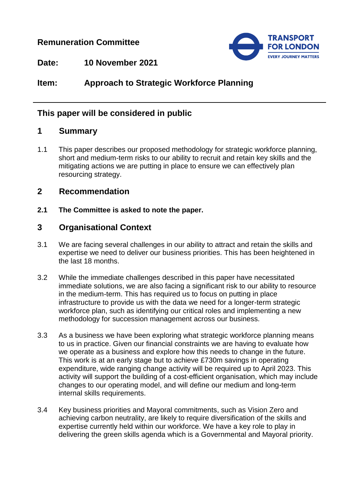## **Remuneration Committee**



**Date: 10 November 2021**

# **Item: Approach to Strategic Workforce Planning**

## **This paper will be considered in public**

## **1 Summary**

1.1 This paper describes our proposed methodology for strategic workforce planning, short and medium-term risks to our ability to recruit and retain key skills and the mitigating actions we are putting in place to ensure we can effectively plan resourcing strategy.

## **2 Recommendation**

**2.1 The Committee is asked to note the paper.**

## **3 Organisational Context**

- 3.1 We are facing several challenges in our ability to attract and retain the skills and expertise we need to deliver our business priorities. This has been heightened in the last 18 months.
- 3.2 While the immediate challenges described in this paper have necessitated immediate solutions, we are also facing a significant risk to our ability to resource in the medium-term. This has required us to focus on putting in place infrastructure to provide us with the data we need for a longer-term strategic workforce plan, such as identifying our critical roles and implementing a new methodology for succession management across our business.
- 3.3 As a business we have been exploring what strategic workforce planning means to us in practice. Given our financial constraints we are having to evaluate how we operate as a business and explore how this needs to change in the future. This work is at an early stage but to achieve £730m savings in operating expenditure, wide ranging change activity will be required up to April 2023. This activity will support the building of a cost-efficient organisation, which may include changes to our operating model, and will define our medium and long-term internal skills requirements.
- 3.4 Key business priorities and Mayoral commitments, such as Vision Zero and achieving carbon neutrality, are likely to require diversification of the skills and expertise currently held within our workforce. We have a key role to play in delivering the green skills agenda which is a Governmental and Mayoral priority.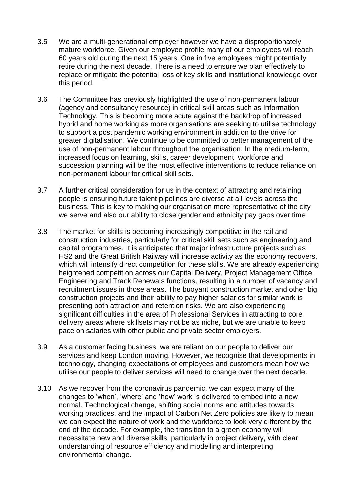- 3.5 We are a multi-generational employer however we have a disproportionately mature workforce. Given our employee profile many of our employees will reach 60 years old during the next 15 years. One in five employees might potentially retire during the next decade. There is a need to ensure we plan effectively to replace or mitigate the potential loss of key skills and institutional knowledge over this period.
- 3.6 The Committee has previously highlighted the use of non-permanent labour (agency and consultancy resource) in critical skill areas such as Information Technology. This is becoming more acute against the backdrop of increased hybrid and home working as more organisations are seeking to utilise technology to support a post pandemic working environment in addition to the drive for greater digitalisation. We continue to be committed to better management of the use of non-permanent labour throughout the organisation. In the medium-term, increased focus on learning, skills, career development, workforce and succession planning will be the most effective interventions to reduce reliance on non-permanent labour for critical skill sets.
- 3.7 A further critical consideration for us in the context of attracting and retaining people is ensuring future talent pipelines are diverse at all levels across the business. This is key to making our organisation more representative of the city we serve and also our ability to close gender and ethnicity pay gaps over time.
- 3.8 The market for skills is becoming increasingly competitive in the rail and construction industries, particularly for critical skill sets such as engineering and capital programmes. It is anticipated that major infrastructure projects such as HS2 and the Great British Railway will increase activity as the economy recovers, which will intensify direct competition for these skills. We are already experiencing heightened competition across our Capital Delivery, Project Management Office, Engineering and Track Renewals functions, resulting in a number of vacancy and recruitment issues in those areas. The buoyant construction market and other big construction projects and their ability to pay higher salaries for similar work is presenting both attraction and retention risks. We are also experiencing significant difficulties in the area of Professional Services in attracting to core delivery areas where skillsets may not be as niche, but we are unable to keep pace on salaries with other public and private sector employers.
- 3.9 As a customer facing business, we are reliant on our people to deliver our services and keep London moving. However, we recognise that developments in technology, changing expectations of employees and customers mean how we utilise our people to deliver services will need to change over the next decade.
- 3.10 As we recover from the coronavirus pandemic, we can expect many of the changes to 'when', 'where' and 'how' work is delivered to embed into a new normal. Technological change, shifting social norms and attitudes towards working practices, and the impact of Carbon Net Zero policies are likely to mean we can expect the nature of work and the workforce to look very different by the end of the decade. For example, the transition to a green economy will necessitate new and diverse skills, particularly in project delivery, with clear understanding of resource efficiency and modelling and interpreting environmental change.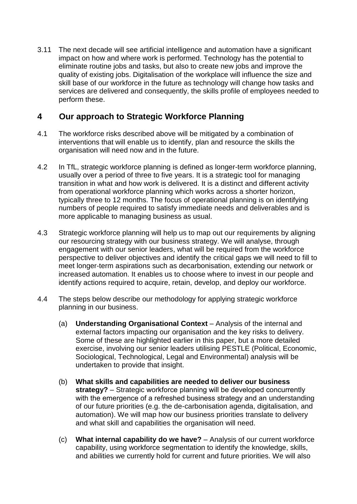3.11 The next decade will see artificial intelligence and automation have a significant impact on how and where work is performed. Technology has the potential to eliminate routine jobs and tasks, but also to create new jobs and improve the quality of existing jobs. Digitalisation of the workplace will influence the size and skill base of our workforce in the future as technology will change how tasks and services are delivered and consequently, the skills profile of employees needed to perform these.

## **4 Our approach to Strategic Workforce Planning**

- 4.1 The workforce risks described above will be mitigated by a combination of interventions that will enable us to identify, plan and resource the skills the organisation will need now and in the future.
- 4.2 In TfL, strategic workforce planning is defined as longer-term workforce planning, usually over a period of three to five years. It is a strategic tool for managing transition in what and how work is delivered. It is a distinct and different activity from operational workforce planning which works across a shorter horizon, typically three to 12 months. The focus of operational planning is on identifying numbers of people required to satisfy immediate needs and deliverables and is more applicable to managing business as usual.
- 4.3 Strategic workforce planning will help us to map out our requirements by aligning our resourcing strategy with our business strategy. We will analyse, through engagement with our senior leaders, what will be required from the workforce perspective to deliver objectives and identify the critical gaps we will need to fill to meet longer-term aspirations such as decarbonisation, extending our network or increased automation. It enables us to choose where to invest in our people and identify actions required to acquire, retain, develop, and deploy our workforce.
- 4.4 The steps below describe our methodology for applying strategic workforce planning in our business.
	- (a) **Understanding Organisational Context** Analysis of the internal and external factors impacting our organisation and the key risks to delivery. Some of these are highlighted earlier in this paper, but a more detailed exercise, involving our senior leaders utilising PESTLE (Political, Economic, Sociological, Technological, Legal and Environmental) analysis will be undertaken to provide that insight.
	- (b) **What skills and capabilities are needed to deliver our business strategy?** – Strategic workforce planning will be developed concurrently with the emergence of a refreshed business strategy and an understanding of our future priorities (e.g. the de-carbonisation agenda, digitalisation, and automation). We will map how our business priorities translate to delivery and what skill and capabilities the organisation will need.
	- (c) **What internal capability do we have?** Analysis of our current workforce capability, using workforce segmentation to identify the knowledge, skills, and abilities we currently hold for current and future priorities. We will also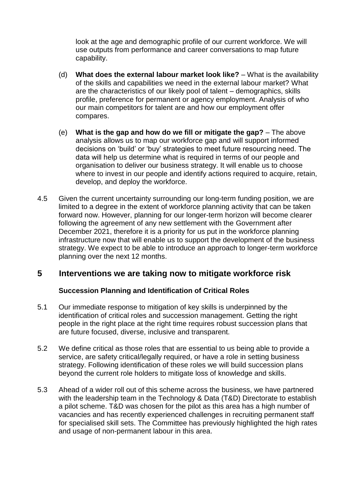look at the age and demographic profile of our current workforce. We will use outputs from performance and career conversations to map future capability.

- (d) **What does the external labour market look like?** What is the availability of the skills and capabilities we need in the external labour market? What are the characteristics of our likely pool of talent – demographics, skills profile, preference for permanent or agency employment. Analysis of who our main competitors for talent are and how our employment offer compares.
- (e) **What is the gap and how do we fill or mitigate the gap?** The above analysis allows us to map our workforce gap and will support informed decisions on 'build' or 'buy' strategies to meet future resourcing need. The data will help us determine what is required in terms of our people and organisation to deliver our business strategy. It will enable us to choose where to invest in our people and identify actions required to acquire, retain, develop, and deploy the workforce.
- 4.5 Given the current uncertainty surrounding our long-term funding position, we are limited to a degree in the extent of workforce planning activity that can be taken forward now. However, planning for our longer-term horizon will become clearer following the agreement of any new settlement with the Government after December 2021, therefore it is a priority for us put in the workforce planning infrastructure now that will enable us to support the development of the business strategy. We expect to be able to introduce an approach to longer-term workforce planning over the next 12 months.

## **5 Interventions we are taking now to mitigate workforce risk**

#### **Succession Planning and Identification of Critical Roles**

- 5.1 Our immediate response to mitigation of key skills is underpinned by the identification of critical roles and succession management. Getting the right people in the right place at the right time requires robust succession plans that are future focused, diverse, inclusive and transparent.
- 5.2 We define critical as those roles that are essential to us being able to provide a service, are safety critical/legally required, or have a role in setting business strategy. Following identification of these roles we will build succession plans beyond the current role holders to mitigate loss of knowledge and skills.
- 5.3 Ahead of a wider roll out of this scheme across the business, we have partnered with the leadership team in the Technology & Data (T&D) Directorate to establish a pilot scheme. T&D was chosen for the pilot as this area has a high number of vacancies and has recently experienced challenges in recruiting permanent staff for specialised skill sets. The Committee has previously highlighted the high rates and usage of non-permanent labour in this area.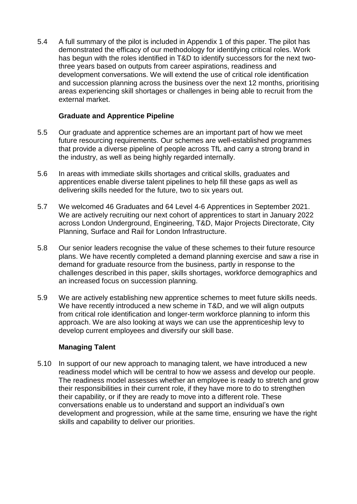5.4 A full summary of the pilot is included in Appendix 1 of this paper. The pilot has demonstrated the efficacy of our methodology for identifying critical roles. Work has begun with the roles identified in T&D to identify successors for the next twothree years based on outputs from career aspirations, readiness and development conversations. We will extend the use of critical role identification and succession planning across the business over the next 12 months, prioritising areas experiencing skill shortages or challenges in being able to recruit from the external market.

#### **Graduate and Apprentice Pipeline**

- 5.5 Our graduate and apprentice schemes are an important part of how we meet future resourcing requirements. Our schemes are well-established programmes that provide a diverse pipeline of people across TfL and carry a strong brand in the industry, as well as being highly regarded internally.
- 5.6 In areas with immediate skills shortages and critical skills, graduates and apprentices enable diverse talent pipelines to help fill these gaps as well as delivering skills needed for the future, two to six years out.
- 5.7 We welcomed 46 Graduates and 64 Level 4-6 Apprentices in September 2021. We are actively recruiting our next cohort of apprentices to start in January 2022 across London Underground, Engineering, T&D, Major Projects Directorate, City Planning, Surface and Rail for London Infrastructure.
- 5.8 Our senior leaders recognise the value of these schemes to their future resource plans. We have recently completed a demand planning exercise and saw a rise in demand for graduate resource from the business, partly in response to the challenges described in this paper, skills shortages, workforce demographics and an increased focus on succession planning.
- 5.9 We are actively establishing new apprentice schemes to meet future skills needs. We have recently introduced a new scheme in T&D, and we will align outputs from critical role identification and longer-term workforce planning to inform this approach. We are also looking at ways we can use the apprenticeship levy to develop current employees and diversify our skill base.

#### **Managing Talent**

5.10 In support of our new approach to managing talent, we have introduced a new readiness model which will be central to how we assess and develop our people. The readiness model assesses whether an employee is ready to stretch and grow their responsibilities in their current role, if they have more to do to strengthen their capability, or if they are ready to move into a different role. These conversations enable us to understand and support an individual's own development and progression, while at the same time, ensuring we have the right skills and capability to deliver our priorities.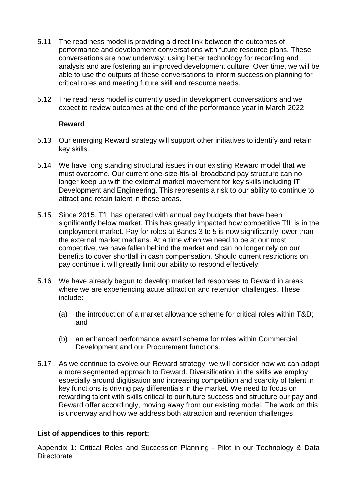- 5.11 The readiness model is providing a direct link between the outcomes of performance and development conversations with future resource plans. These conversations are now underway, using better technology for recording and analysis and are fostering an improved development culture. Over time, we will be able to use the outputs of these conversations to inform succession planning for critical roles and meeting future skill and resource needs.
- 5.12 The readiness model is currently used in development conversations and we expect to review outcomes at the end of the performance year in March 2022.

#### **Reward**

- 5.13 Our emerging Reward strategy will support other initiatives to identify and retain key skills.
- 5.14 We have long standing structural issues in our existing Reward model that we must overcome. Our current one-size-fits-all broadband pay structure can no longer keep up with the external market movement for key skills including IT Development and Engineering. This represents a risk to our ability to continue to attract and retain talent in these areas.
- 5.15 Since 2015, TfL has operated with annual pay budgets that have been significantly below market. This has greatly impacted how competitive TfL is in the employment market. Pay for roles at Bands 3 to 5 is now significantly lower than the external market medians. At a time when we need to be at our most competitive, we have fallen behind the market and can no longer rely on our benefits to cover shortfall in cash compensation. Should current restrictions on pay continue it will greatly limit our ability to respond effectively.
- 5.16 We have already begun to develop market led responses to Reward in areas where we are experiencing acute attraction and retention challenges. These include:
	- (a) the introduction of a market allowance scheme for critical roles within T&D; and
	- (b) an enhanced performance award scheme for roles within Commercial Development and our Procurement functions.
- 5.17 As we continue to evolve our Reward strategy, we will consider how we can adopt a more segmented approach to Reward. Diversification in the skills we employ especially around digitisation and increasing competition and scarcity of talent in key functions is driving pay differentials in the market. We need to focus on rewarding talent with skills critical to our future success and structure our pay and Reward offer accordingly, moving away from our existing model. The work on this is underway and how we address both attraction and retention challenges.

#### **List of appendices to this report:**

Appendix 1: Critical Roles and Succession Planning - Pilot in our Technology & Data **Directorate**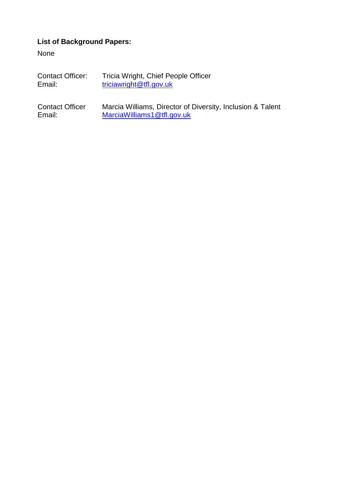# **List of Background Papers:**

None

| <b>Contact Officer:</b> | Tricia Wright, Chief People Officer |
|-------------------------|-------------------------------------|
| Email:                  | triciawright@tfl.gov.uk             |

Contact Officer Marcia Williams, Director of Diversity, Inclusion & Talent Email: [MarciaWilliams1@tfl.gov.uk](mailto:MarciaWilliams1@tfl.gov.uk)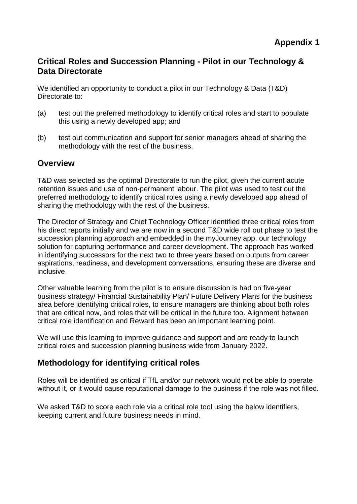# **Critical Roles and Succession Planning - Pilot in our Technology & Data Directorate**

We identified an opportunity to conduct a pilot in our Technology & Data (T&D) Directorate to:

- (a) test out the preferred methodology to identify critical roles and start to populate this using a newly developed app; and
- (b) test out communication and support for senior managers ahead of sharing the methodology with the rest of the business.

## **Overview**

T&D was selected as the optimal Directorate to run the pilot, given the current acute retention issues and use of non-permanent labour. The pilot was used to test out the preferred methodology to identify critical roles using a newly developed app ahead of sharing the methodology with the rest of the business.

The Director of Strategy and Chief Technology Officer identified three critical roles from his direct reports initially and we are now in a second T&D wide roll out phase to test the succession planning approach and embedded in the myJourney app, our technology solution for capturing performance and career development. The approach has worked in identifying successors for the next two to three years based on outputs from career aspirations, readiness, and development conversations, ensuring these are diverse and inclusive.

Other valuable learning from the pilot is to ensure discussion is had on five-year business strategy/ Financial Sustainability Plan/ Future Delivery Plans for the business area before identifying critical roles, to ensure managers are thinking about both roles that are critical now, and roles that will be critical in the future too. Alignment between critical role identification and Reward has been an important learning point.

We will use this learning to improve guidance and support and are ready to launch critical roles and succession planning business wide from January 2022.

# **Methodology for identifying critical roles**

Roles will be identified as critical if TfL and/or our network would not be able to operate without it, or it would cause reputational damage to the business if the role was not filled.

We asked T&D to score each role via a critical role tool using the below identifiers, keeping current and future business needs in mind.